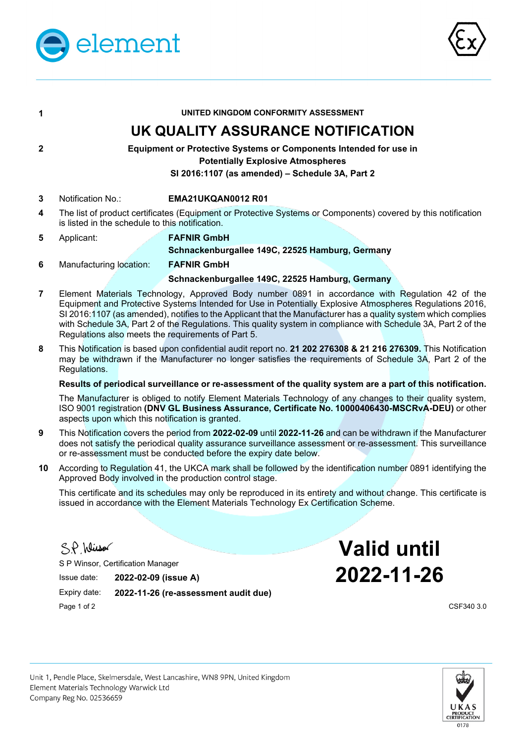



| 1              | UNITED KINGDOM CONFORMITY ASSESSMENT                                                                                                                                                                                                                                                                                                                                                                                                                                                                  |                                                                                                                                                                                                                           |  |
|----------------|-------------------------------------------------------------------------------------------------------------------------------------------------------------------------------------------------------------------------------------------------------------------------------------------------------------------------------------------------------------------------------------------------------------------------------------------------------------------------------------------------------|---------------------------------------------------------------------------------------------------------------------------------------------------------------------------------------------------------------------------|--|
|                |                                                                                                                                                                                                                                                                                                                                                                                                                                                                                                       | UK QUALITY ASSURANCE NOTIFICATION                                                                                                                                                                                         |  |
| $\mathbf{2}$   | <b>Equipment or Protective Systems or Components Intended for use in</b><br><b>Potentially Explosive Atmospheres</b><br>SI 2016:1107 (as amended) - Schedule 3A, Part 2                                                                                                                                                                                                                                                                                                                               |                                                                                                                                                                                                                           |  |
| 3              | Notification No.:                                                                                                                                                                                                                                                                                                                                                                                                                                                                                     | EMA21UKQAN0012 R01                                                                                                                                                                                                        |  |
| 4              | The list of product certificates (Equipment or Protective Systems or Components) covered by this notification<br>is listed in the schedule to this notification.                                                                                                                                                                                                                                                                                                                                      |                                                                                                                                                                                                                           |  |
| 5              | Applicant:                                                                                                                                                                                                                                                                                                                                                                                                                                                                                            | <b>FAFNIR GmbH</b>                                                                                                                                                                                                        |  |
|                |                                                                                                                                                                                                                                                                                                                                                                                                                                                                                                       | Schnackenburgallee 149C, 22525 Hamburg, Germany                                                                                                                                                                           |  |
| 6              | Manufacturing location:                                                                                                                                                                                                                                                                                                                                                                                                                                                                               | <b>FAFNIR GmbH</b>                                                                                                                                                                                                        |  |
|                |                                                                                                                                                                                                                                                                                                                                                                                                                                                                                                       | Schnackenburgallee 149C, 22525 Hamburg, Germany                                                                                                                                                                           |  |
| $\overline{7}$ | Element Materials Technology, Approved Body number 0891 in accordance with Regulation 42 of the<br>Equipment and Protective Systems Intended for Use in Potentially Explosive Atmospheres Regulations 2016,<br>SI 2016:1107 (as amended), notifies to the Applicant that the Manufacturer has a quality system which complies<br>with Schedule 3A, Part 2 of the Regulations. This quality system in compliance with Schedule 3A, Part 2 of the<br>Regulations also meets the requirements of Part 5. |                                                                                                                                                                                                                           |  |
| 8              |                                                                                                                                                                                                                                                                                                                                                                                                                                                                                                       | This Notification is based upon confidential audit report no. 21 202 276308 & 21 216 276309. This Notification<br>may be withdrawn if the Manufacturer no longer satisfies the requirements of Schedule 3A, Part 2 of the |  |

## **Results of periodical surveillance or re-assessment of the quality system are a part of this notification.**

The Manufacturer is obliged to notify Element Materials Technology of any changes to their quality system, ISO 9001 registration **(DNV GL Business Assurance, Certificate No. 10000406430-MSCRvA-DEU)** or other aspects upon which this notification is granted.

- **9** This Notification covers the period from **2022-02-09** until **2022-11-26** and can be withdrawn if the Manufacturer does not satisfy the periodical quality assurance surveillance assessment or re-assessment. This surveillance or re-assessment must be conducted before the expiry date below.
- **10** According to Regulation 41, the UKCA mark shall be followed by the identification number 0891 identifying the Approved Body involved in the production control stage.

This certificate and its schedules may only be reproduced in its entirety and without change. This certificate is issued in accordance with the Element Materials Technology Ex Certification Scheme.

S.P. Winsor

Regulations.

S P Winsor, Certification Manager

Expiry date: **2022-11-26 (re-assessment audit due)** Page 1 of 2 CSF340 3.0

**Valid until** Issue date: **2022-02-09 (issue A) 2022-11-26**